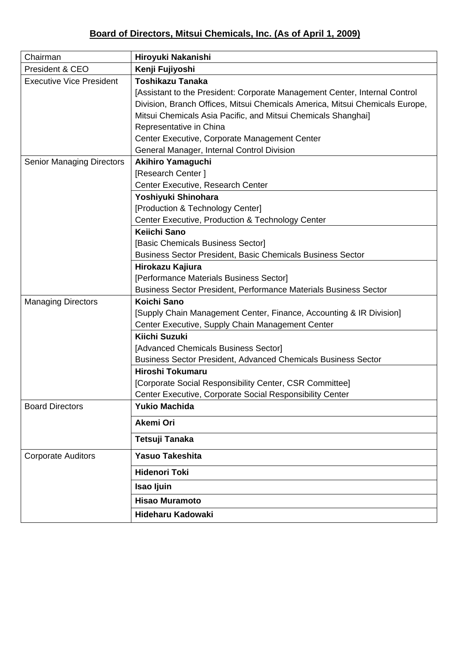| Chairman                         | Hiroyuki Nakanishi                                                           |
|----------------------------------|------------------------------------------------------------------------------|
| President & CEO                  | Kenji Fujiyoshi                                                              |
| <b>Executive Vice President</b>  | <b>Toshikazu Tanaka</b>                                                      |
|                                  | [Assistant to the President: Corporate Management Center, Internal Control   |
|                                  | Division, Branch Offices, Mitsui Chemicals America, Mitsui Chemicals Europe, |
|                                  | Mitsui Chemicals Asia Pacific, and Mitsui Chemicals Shanghai]                |
|                                  | Representative in China                                                      |
|                                  | Center Executive, Corporate Management Center                                |
|                                  | General Manager, Internal Control Division                                   |
| <b>Senior Managing Directors</b> | <b>Akihiro Yamaguchi</b>                                                     |
|                                  | [Research Center]                                                            |
|                                  | Center Executive, Research Center                                            |
|                                  | Yoshiyuki Shinohara                                                          |
|                                  | [Production & Technology Center]                                             |
|                                  | Center Executive, Production & Technology Center                             |
|                                  | Keiichi Sano                                                                 |
|                                  | [Basic Chemicals Business Sector]                                            |
|                                  | <b>Business Sector President, Basic Chemicals Business Sector</b>            |
|                                  | Hirokazu Kajiura                                                             |
|                                  | [Performance Materials Business Sector]                                      |
|                                  | <b>Business Sector President, Performance Materials Business Sector</b>      |
| <b>Managing Directors</b>        | Koichi Sano                                                                  |
|                                  | [Supply Chain Management Center, Finance, Accounting & IR Division]          |
|                                  | Center Executive, Supply Chain Management Center                             |
|                                  | Kiichi Suzuki                                                                |
|                                  | [Advanced Chemicals Business Sector]                                         |
|                                  | Business Sector President, Advanced Chemicals Business Sector                |
|                                  | Hiroshi Tokumaru                                                             |
|                                  | [Corporate Social Responsibility Center, CSR Committee]                      |
|                                  | Center Executive, Corporate Social Responsibility Center                     |
| <b>Board Directors</b>           | <b>Yukio Machida</b>                                                         |
|                                  | <b>Akemi Ori</b>                                                             |
|                                  | Tetsuji Tanaka                                                               |
| <b>Corporate Auditors</b>        | <b>Yasuo Takeshita</b>                                                       |
|                                  | <b>Hidenori Toki</b>                                                         |
|                                  | Isao Ijuin                                                                   |
|                                  | <b>Hisao Muramoto</b>                                                        |
|                                  | <b>Hideharu Kadowaki</b>                                                     |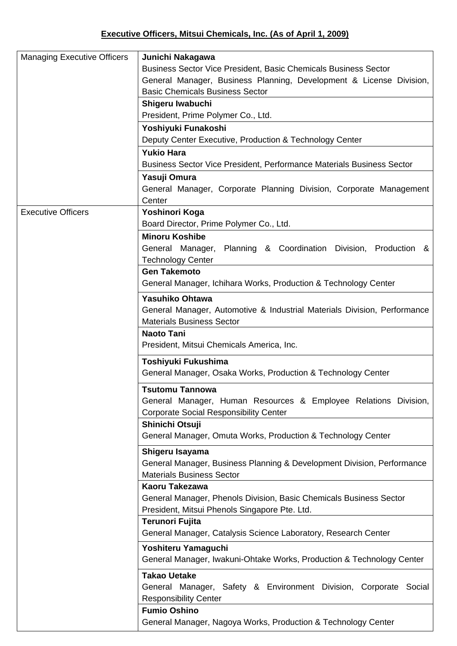| <b>Managing Executive Officers</b> | Junichi Nakagawa                                                         |
|------------------------------------|--------------------------------------------------------------------------|
|                                    | Business Sector Vice President, Basic Chemicals Business Sector          |
|                                    | General Manager, Business Planning, Development & License Division,      |
|                                    | <b>Basic Chemicals Business Sector</b>                                   |
|                                    | Shigeru Iwabuchi                                                         |
|                                    | President, Prime Polymer Co., Ltd.                                       |
|                                    | Yoshiyuki Funakoshi                                                      |
|                                    | Deputy Center Executive, Production & Technology Center                  |
|                                    | <b>Yukio Hara</b>                                                        |
|                                    | Business Sector Vice President, Performance Materials Business Sector    |
|                                    | Yasuji Omura                                                             |
|                                    | General Manager, Corporate Planning Division, Corporate Management       |
|                                    | Center                                                                   |
| <b>Executive Officers</b>          | Yoshinori Koga                                                           |
|                                    | Board Director, Prime Polymer Co., Ltd.                                  |
|                                    | <b>Minoru Koshibe</b>                                                    |
|                                    | General Manager, Planning & Coordination Division, Production &          |
|                                    | <b>Technology Center</b>                                                 |
|                                    | <b>Gen Takemoto</b>                                                      |
|                                    | General Manager, Ichihara Works, Production & Technology Center          |
|                                    |                                                                          |
|                                    | <b>Yasuhiko Ohtawa</b>                                                   |
|                                    | General Manager, Automotive & Industrial Materials Division, Performance |
|                                    | <b>Materials Business Sector</b>                                         |
|                                    | <b>Naoto Tani</b>                                                        |
|                                    | President, Mitsui Chemicals America, Inc.                                |
|                                    | Toshiyuki Fukushima                                                      |
|                                    | General Manager, Osaka Works, Production & Technology Center             |
|                                    | <b>Tsutomu Tannowa</b>                                                   |
|                                    | General Manager, Human Resources & Employee Relations Division,          |
|                                    | <b>Corporate Social Responsibility Center</b>                            |
|                                    | Shinichi Otsuji                                                          |
|                                    | General Manager, Omuta Works, Production & Technology Center             |
|                                    | Shigeru Isayama                                                          |
|                                    | General Manager, Business Planning & Development Division, Performance   |
|                                    | <b>Materials Business Sector</b>                                         |
|                                    | Kaoru Takezawa                                                           |
|                                    | General Manager, Phenols Division, Basic Chemicals Business Sector       |
|                                    | President, Mitsui Phenols Singapore Pte. Ltd.                            |
|                                    | Terunori Fujita                                                          |
|                                    | General Manager, Catalysis Science Laboratory, Research Center           |
|                                    | Yoshiteru Yamaguchi                                                      |
|                                    | General Manager, Iwakuni-Ohtake Works, Production & Technology Center    |
|                                    | <b>Takao Uetake</b>                                                      |
|                                    | General Manager, Safety & Environment Division, Corporate Social         |
|                                    | <b>Responsibility Center</b>                                             |
|                                    | <b>Fumio Oshino</b>                                                      |
|                                    | General Manager, Nagoya Works, Production & Technology Center            |